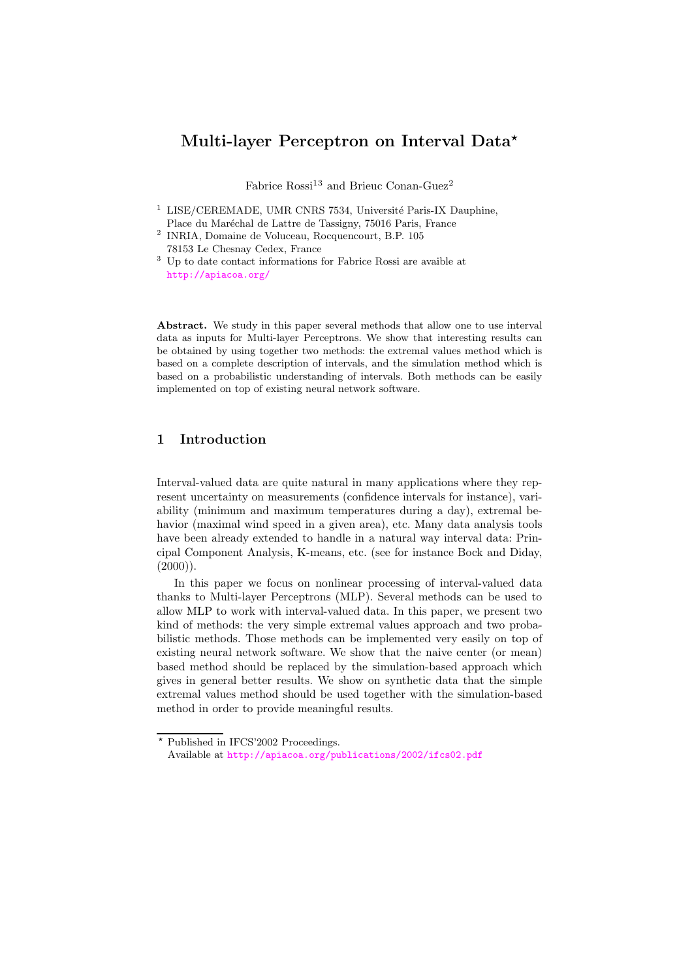# Multi-layer Perceptron on Interval Data\*

Fabrice  $\text{Rossi}^{13}$  and Brieuc Conan-Guez<sup>2</sup>

- $1$  LISE/CEREMADE, UMR CNRS 7534, Université Paris-IX Dauphine, Place du Maréchal de Lattre de Tassigny, 75016 Paris, France
- 2 INRIA, Domaine de Voluceau, Rocquencourt, B.P. 105 78153 Le Chesnay Cedex, France
- <sup>3</sup> Up to date contact informations for Fabrice Rossi are avaible at <http://apiacoa.org/>

Abstract. We study in this paper several methods that allow one to use interval data as inputs for Multi-layer Perceptrons. We show that interesting results can be obtained by using together two methods: the extremal values method which is based on a complete description of intervals, and the simulation method which is based on a probabilistic understanding of intervals. Both methods can be easily implemented on top of existing neural network software.

## 1 Introduction

Interval-valued data are quite natural in many applications where they represent uncertainty on measurements (confidence intervals for instance), variability (minimum and maximum temperatures during a day), extremal behavior (maximal wind speed in a given area), etc. Many data analysis tools have been already extended to handle in a natural way interval data: Principal Component Analysis, K-means, etc. (see for instance Bock and Diday,  $(2000)$ ).

In this paper we focus on nonlinear processing of interval-valued data thanks to Multi-layer Perceptrons (MLP). Several methods can be used to allow MLP to work with interval-valued data. In this paper, we present two kind of methods: the very simple extremal values approach and two probabilistic methods. Those methods can be implemented very easily on top of existing neural network software. We show that the naive center (or mean) based method should be replaced by the simulation-based approach which gives in general better results. We show on synthetic data that the simple extremal values method should be used together with the simulation-based method in order to provide meaningful results.

<sup>?</sup> Published in IFCS'2002 Proceedings. Available at <http://apiacoa.org/publications/2002/ifcs02.pdf>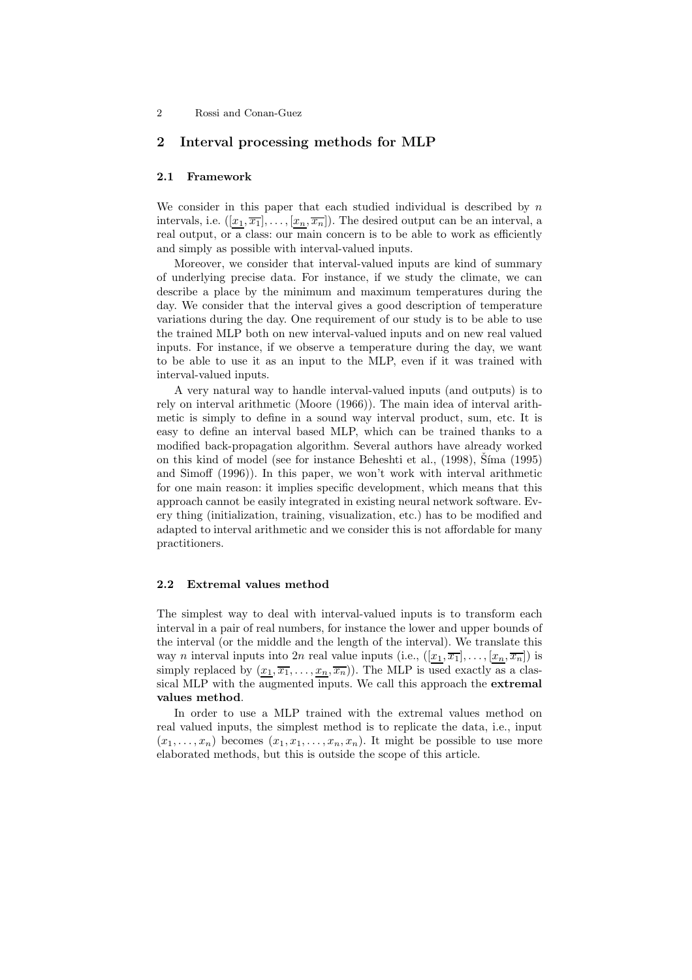## 2 Rossi and Conan-Guez

## 2 Interval processing methods for MLP

#### 2.1 Framework

We consider in this paper that each studied individual is described by  $n$ intervals, i.e.  $([x_1, \overline{x_1}], \ldots, [x_n, \overline{x_n}])$ . The desired output can be an interval, a real output, or a class: our main concern is to be able to work as efficiently and simply as possible with interval-valued inputs.

Moreover, we consider that interval-valued inputs are kind of summary of underlying precise data. For instance, if we study the climate, we can describe a place by the minimum and maximum temperatures during the day. We consider that the interval gives a good description of temperature variations during the day. One requirement of our study is to be able to use the trained MLP both on new interval-valued inputs and on new real valued inputs. For instance, if we observe a temperature during the day, we want to be able to use it as an input to the MLP, even if it was trained with interval-valued inputs.

A very natural way to handle interval-valued inputs (and outputs) is to rely on interval arithmetic (Moore (1966)). The main idea of interval arithmetic is simply to define in a sound way interval product, sum, etc. It is easy to define an interval based MLP, which can be trained thanks to a modified back-propagation algorithm. Several authors have already worked on this kind of model (see for instance Beheshti et al., (1998), Síma (1995) and Simoff (1996)). In this paper, we won't work with interval arithmetic for one main reason: it implies specific development, which means that this approach cannot be easily integrated in existing neural network software. Every thing (initialization, training, visualization, etc.) has to be modified and adapted to interval arithmetic and we consider this is not affordable for many practitioners.

### 2.2 Extremal values method

The simplest way to deal with interval-valued inputs is to transform each interval in a pair of real numbers, for instance the lower and upper bounds of the interval (or the middle and the length of the interval). We translate this way *n* interval inputs into 2*n* real value inputs (i.e.,  $([x_1, \overline{x_1}], \ldots, [x_n, \overline{x_n}])$  is simply replaced by  $(x_1, \overline{x_1}, \ldots, x_n, \overline{x_n})$ . The MLP is used exactly as a classical MLP with the augmented inputs. We call this approach the extremal values method.

In order to use a MLP trained with the extremal values method on real valued inputs, the simplest method is to replicate the data, i.e., input  $(x_1, \ldots, x_n)$  becomes  $(x_1, x_1, \ldots, x_n, x_n)$ . It might be possible to use more elaborated methods, but this is outside the scope of this article.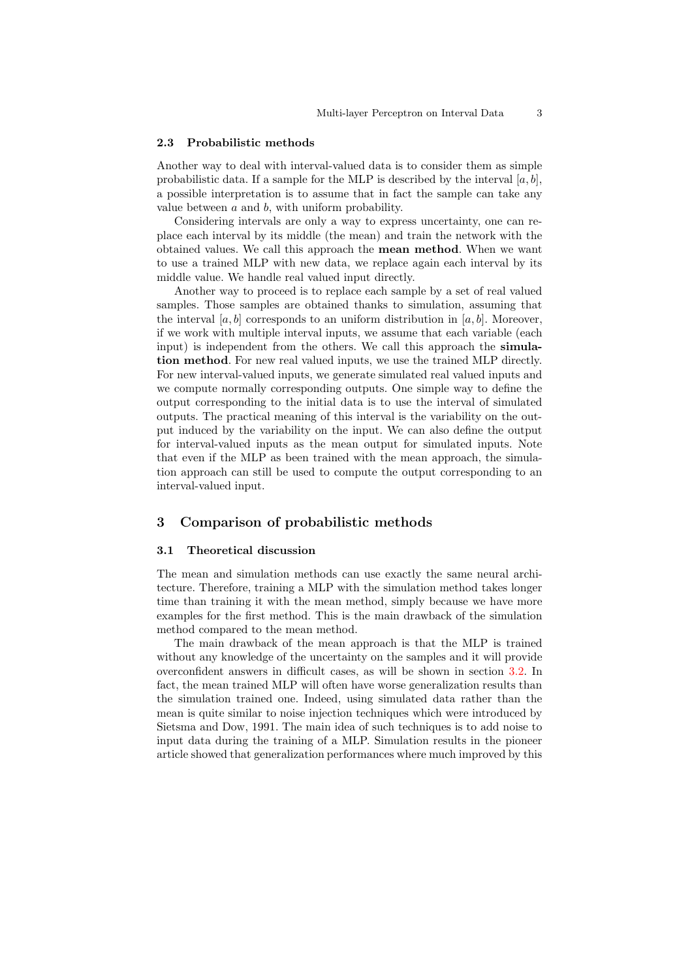#### 2.3 Probabilistic methods

Another way to deal with interval-valued data is to consider them as simple probabilistic data. If a sample for the MLP is described by the interval  $[a, b]$ , a possible interpretation is to assume that in fact the sample can take any value between  $a$  and  $b$ , with uniform probability.

Considering intervals are only a way to express uncertainty, one can replace each interval by its middle (the mean) and train the network with the obtained values. We call this approach the mean method. When we want to use a trained MLP with new data, we replace again each interval by its middle value. We handle real valued input directly.

Another way to proceed is to replace each sample by a set of real valued samples. Those samples are obtained thanks to simulation, assuming that the interval  $[a, b]$  corresponds to an uniform distribution in  $[a, b]$ . Moreover, if we work with multiple interval inputs, we assume that each variable (each input) is independent from the others. We call this approach the simulation method. For new real valued inputs, we use the trained MLP directly. For new interval-valued inputs, we generate simulated real valued inputs and we compute normally corresponding outputs. One simple way to define the output corresponding to the initial data is to use the interval of simulated outputs. The practical meaning of this interval is the variability on the output induced by the variability on the input. We can also define the output for interval-valued inputs as the mean output for simulated inputs. Note that even if the MLP as been trained with the mean approach, the simulation approach can still be used to compute the output corresponding to an interval-valued input.

## 3 Comparison of probabilistic methods

#### 3.1 Theoretical discussion

The mean and simulation methods can use exactly the same neural architecture. Therefore, training a MLP with the simulation method takes longer time than training it with the mean method, simply because we have more examples for the first method. This is the main drawback of the simulation method compared to the mean method.

The main drawback of the mean approach is that the MLP is trained without any knowledge of the uncertainty on the samples and it will provide overconfident answers in difficult cases, as will be shown in section [3.2.](#page-3-0) In fact, the mean trained MLP will often have worse generalization results than the simulation trained one. Indeed, using simulated data rather than the mean is quite similar to noise injection techniques which were introduced by Sietsma and Dow, 1991. The main idea of such techniques is to add noise to input data during the training of a MLP. Simulation results in the pioneer article showed that generalization performances where much improved by this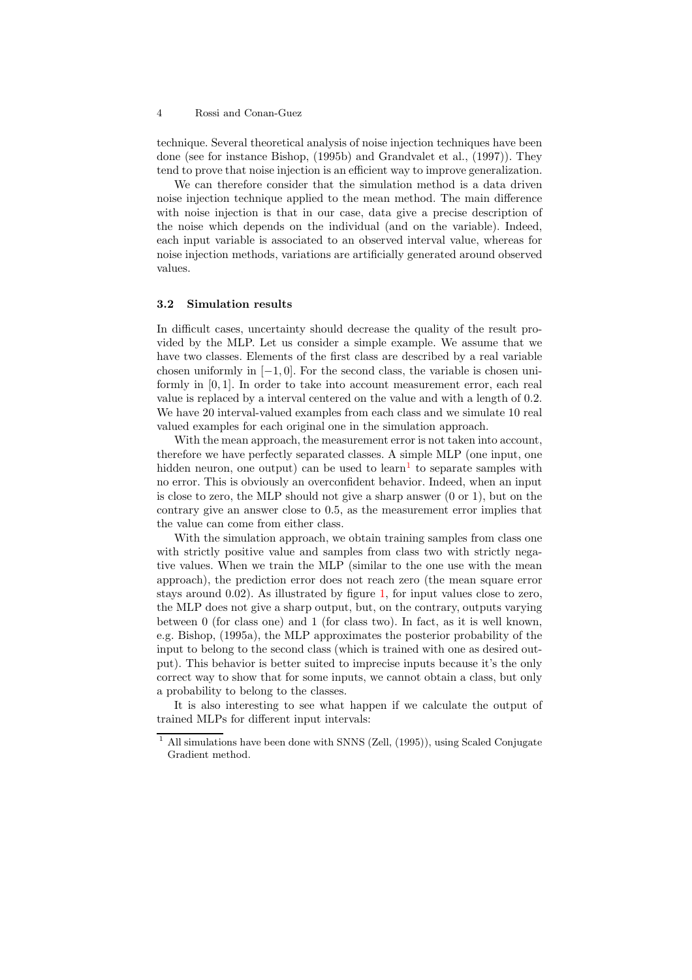#### 4 Rossi and Conan-Guez

technique. Several theoretical analysis of noise injection techniques have been done (see for instance Bishop, (1995b) and Grandvalet et al., (1997)). They tend to prove that noise injection is an efficient way to improve generalization.

We can therefore consider that the simulation method is a data driven noise injection technique applied to the mean method. The main difference with noise injection is that in our case, data give a precise description of the noise which depends on the individual (and on the variable). Indeed, each input variable is associated to an observed interval value, whereas for noise injection methods, variations are artificially generated around observed values.

#### <span id="page-3-0"></span>3.2 Simulation results

In difficult cases, uncertainty should decrease the quality of the result provided by the MLP. Let us consider a simple example. We assume that we have two classes. Elements of the first class are described by a real variable chosen uniformly in  $[-1, 0]$ . For the second class, the variable is chosen uniformly in [0, 1]. In order to take into account measurement error, each real value is replaced by a interval centered on the value and with a length of 0.2. We have 20 interval-valued examples from each class and we simulate 10 real valued examples for each original one in the simulation approach.

With the mean approach, the measurement error is not taken into account. therefore we have perfectly separated classes. A simple MLP (one input, one hidden neuron, one output) can be used to  $\text{learn}^1$  $\text{learn}^1$  to separate samples with no error. This is obviously an overconfident behavior. Indeed, when an input is close to zero, the MLP should not give a sharp answer (0 or 1), but on the contrary give an answer close to 0.5, as the measurement error implies that the value can come from either class.

With the simulation approach, we obtain training samples from class one with strictly positive value and samples from class two with strictly negative values. When we train the MLP (similar to the one use with the mean approach), the prediction error does not reach zero (the mean square error stays around 0.02). As illustrated by figure [1,](#page-4-0) for input values close to zero, the MLP does not give a sharp output, but, on the contrary, outputs varying between 0 (for class one) and 1 (for class two). In fact, as it is well known, e.g. Bishop, (1995a), the MLP approximates the posterior probability of the input to belong to the second class (which is trained with one as desired output). This behavior is better suited to imprecise inputs because it's the only correct way to show that for some inputs, we cannot obtain a class, but only a probability to belong to the classes.

It is also interesting to see what happen if we calculate the output of trained MLPs for different input intervals:

<span id="page-3-1"></span><sup>1</sup> All simulations have been done with SNNS (Zell, (1995)), using Scaled Conjugate Gradient method.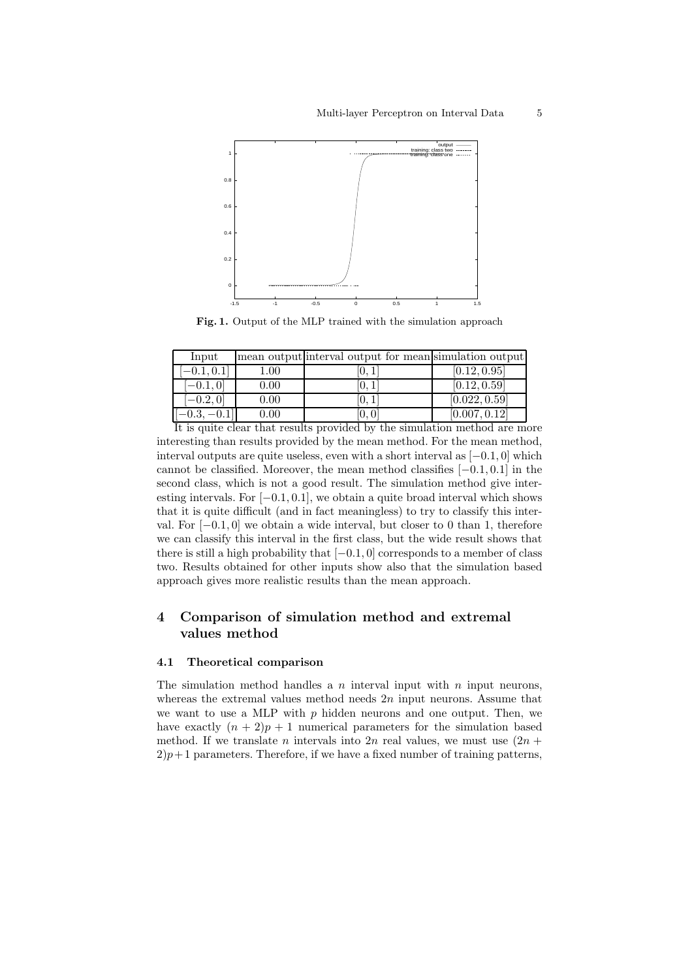

Fig. 1. Output of the MLP trained with the simulation approach

<span id="page-4-0"></span>

| Input         |          | mean output interval output for mean simulation output |               |
|---------------|----------|--------------------------------------------------------|---------------|
| $[-0.1, 0.1]$ | $1.00\,$ | U.I                                                    | [0.12, 0.95]  |
| $[-0.1, 0]$   | 0.00     | U.I                                                    | [0.12, 0.59]  |
| $[-0.2, 0]$   | 0.00     | 10. I                                                  | [0.022, 0.59] |
| 0.3           | $0.00\,$ | .U. U'                                                 | [0.007, 0.12] |

It is quite clear that results provided by the simulation method are more interesting than results provided by the mean method. For the mean method, interval outputs are quite useless, even with a short interval as  $[-0.1, 0]$  which cannot be classified. Moreover, the mean method classifies  $[-0.1, 0.1]$  in the second class, which is not a good result. The simulation method give interesting intervals. For  $[-0.1, 0.1]$ , we obtain a quite broad interval which shows that it is quite difficult (and in fact meaningless) to try to classify this interval. For  $[-0.1, 0]$  we obtain a wide interval, but closer to 0 than 1, therefore we can classify this interval in the first class, but the wide result shows that there is still a high probability that  $[-0.1, 0]$  corresponds to a member of class two. Results obtained for other inputs show also that the simulation based approach gives more realistic results than the mean approach.

## 4 Comparison of simulation method and extremal values method

### 4.1 Theoretical comparison

The simulation method handles a  $n$  interval input with  $n$  input neurons, whereas the extremal values method needs  $2n$  input neurons. Assume that we want to use a MLP with  $p$  hidden neurons and one output. Then, we have exactly  $(n + 2)p + 1$  numerical parameters for the simulation based method. If we translate *n* intervals into  $2n$  real values, we must use  $(2n +$  $2)p+1$  parameters. Therefore, if we have a fixed number of training patterns,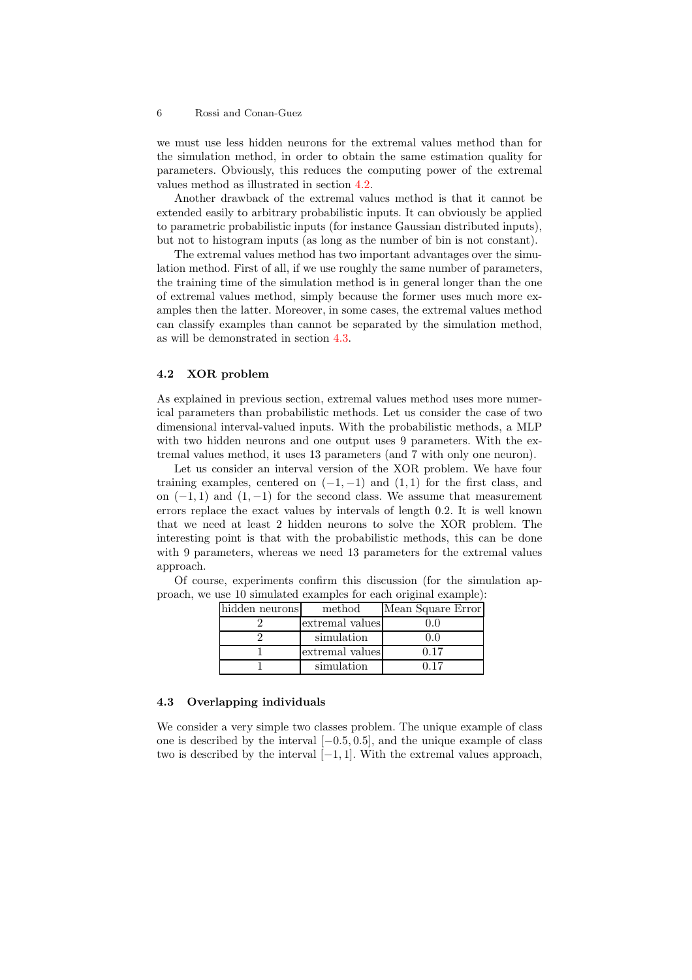#### 6 Rossi and Conan-Guez

we must use less hidden neurons for the extremal values method than for the simulation method, in order to obtain the same estimation quality for parameters. Obviously, this reduces the computing power of the extremal values method as illustrated in section [4.2.](#page-5-0)

Another drawback of the extremal values method is that it cannot be extended easily to arbitrary probabilistic inputs. It can obviously be applied to parametric probabilistic inputs (for instance Gaussian distributed inputs), but not to histogram inputs (as long as the number of bin is not constant).

The extremal values method has two important advantages over the simulation method. First of all, if we use roughly the same number of parameters, the training time of the simulation method is in general longer than the one of extremal values method, simply because the former uses much more examples then the latter. Moreover, in some cases, the extremal values method can classify examples than cannot be separated by the simulation method, as will be demonstrated in section [4.3.](#page-5-1)

#### <span id="page-5-0"></span>4.2 XOR problem

As explained in previous section, extremal values method uses more numerical parameters than probabilistic methods. Let us consider the case of two dimensional interval-valued inputs. With the probabilistic methods, a MLP with two hidden neurons and one output uses 9 parameters. With the extremal values method, it uses 13 parameters (and 7 with only one neuron).

Let us consider an interval version of the XOR problem. We have four training examples, centered on  $(-1, -1)$  and  $(1, 1)$  for the first class, and on  $(-1, 1)$  and  $(1, -1)$  for the second class. We assume that measurement errors replace the exact values by intervals of length 0.2. It is well known that we need at least 2 hidden neurons to solve the XOR problem. The interesting point is that with the probabilistic methods, this can be done with 9 parameters, whereas we need 13 parameters for the extremal values approach.

| hidden neurons | method          | Mean Square Error |
|----------------|-----------------|-------------------|
|                | extremal values |                   |
|                | simulation      |                   |
|                | extremal values | በ 17              |
|                | simulation      | ነ 17              |

Of course, experiments confirm this discussion (for the simulation approach, we use 10 simulated examples for each original example):

#### <span id="page-5-1"></span>4.3 Overlapping individuals

We consider a very simple two classes problem. The unique example of class one is described by the interval  $[-0.5, 0.5]$ , and the unique example of class two is described by the interval  $[-1, 1]$ . With the extremal values approach,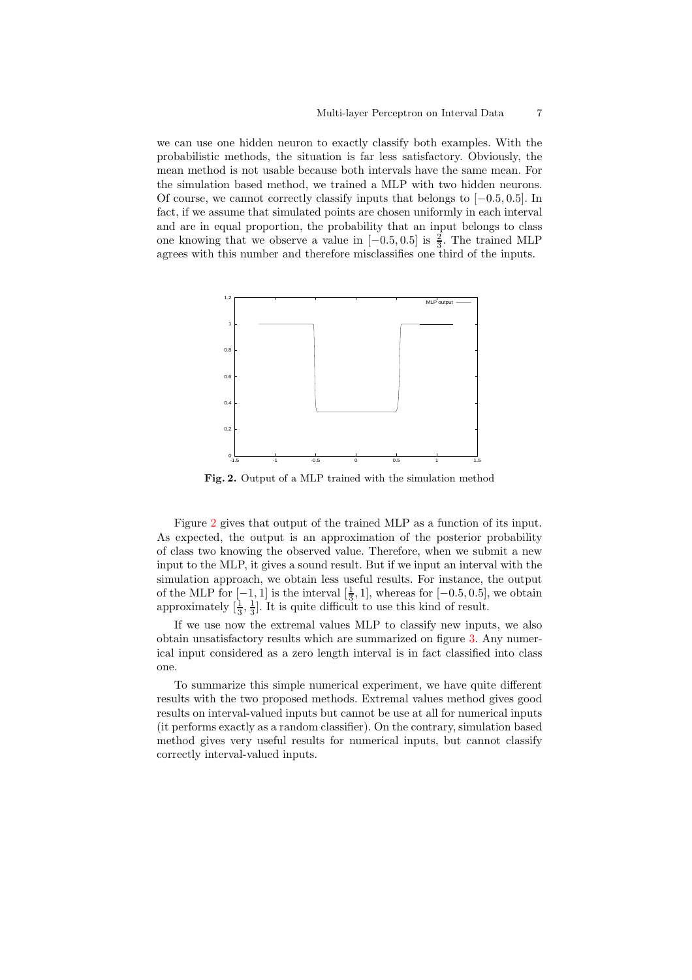we can use one hidden neuron to exactly classify both examples. With the probabilistic methods, the situation is far less satisfactory. Obviously, the mean method is not usable because both intervals have the same mean. For the simulation based method, we trained a MLP with two hidden neurons. Of course, we cannot correctly classify inputs that belongs to  $[-0.5, 0.5]$ . In fact, if we assume that simulated points are chosen uniformly in each interval and are in equal proportion, the probability that an input belongs to class one knowing that we observe a value in  $[-0.5, 0.5]$  is  $\frac{2}{3}$ . The trained MLP agrees with this number and therefore misclassifies one third of the inputs.



Fig. 2. Output of a MLP trained with the simulation method

<span id="page-6-0"></span>Figure [2](#page-6-0) gives that output of the trained MLP as a function of its input. As expected, the output is an approximation of the posterior probability of class two knowing the observed value. Therefore, when we submit a new input to the MLP, it gives a sound result. But if we input an interval with the simulation approach, we obtain less useful results. For instance, the output of the MLP for  $[-1, 1]$  is the interval  $\left[\frac{1}{3}, 1\right]$ , whereas for  $[-0.5, 0.5]$ , we obtain approximately  $\left[\frac{1}{3}, \frac{1}{3}\right]$ . It is quite difficult to use this kind of result.

If we use now the extremal values MLP to classify new inputs, we also obtain unsatisfactory results which are summarized on figure [3.](#page-7-0) Any numerical input considered as a zero length interval is in fact classified into class one.

To summarize this simple numerical experiment, we have quite different results with the two proposed methods. Extremal values method gives good results on interval-valued inputs but cannot be use at all for numerical inputs (it performs exactly as a random classifier). On the contrary, simulation based method gives very useful results for numerical inputs, but cannot classify correctly interval-valued inputs.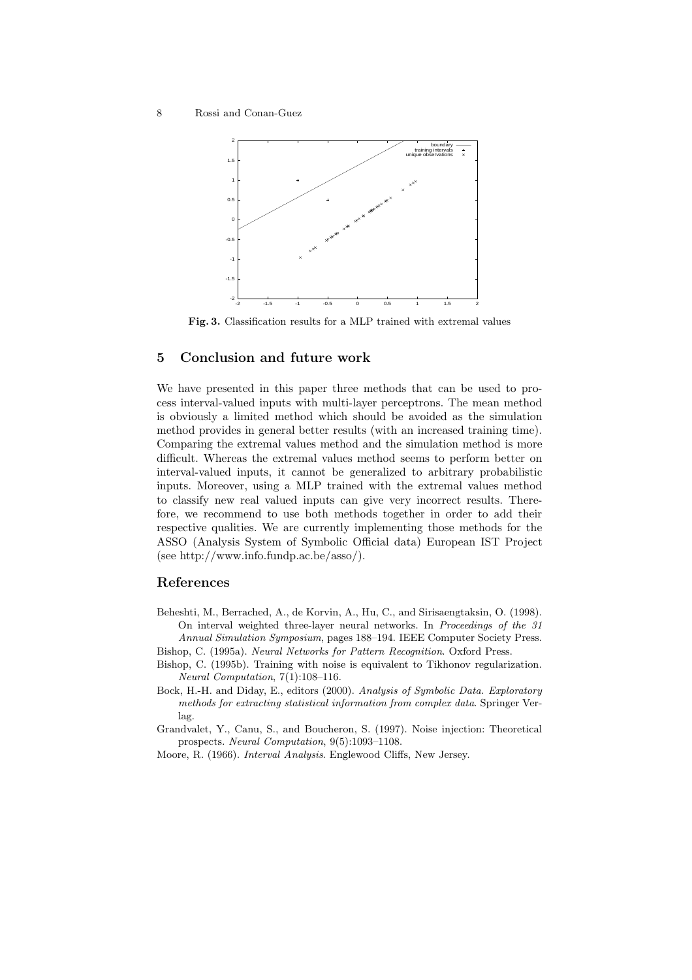

Fig. 3. Classification results for a MLP trained with extremal values

## <span id="page-7-0"></span>5 Conclusion and future work

We have presented in this paper three methods that can be used to process interval-valued inputs with multi-layer perceptrons. The mean method is obviously a limited method which should be avoided as the simulation method provides in general better results (with an increased training time). Comparing the extremal values method and the simulation method is more difficult. Whereas the extremal values method seems to perform better on interval-valued inputs, it cannot be generalized to arbitrary probabilistic inputs. Moreover, using a MLP trained with the extremal values method to classify new real valued inputs can give very incorrect results. Therefore, we recommend to use both methods together in order to add their respective qualities. We are currently implementing those methods for the ASSO (Analysis System of Symbolic Official data) European IST Project (see http://www.info.fundp.ac.be/asso/).

## References

- Beheshti, M., Berrached, A., de Korvin, A., Hu, C., and Sirisaengtaksin, O. (1998). On interval weighted three-layer neural networks. In Proceedings of the 31 Annual Simulation Symposium, pages 188–194. IEEE Computer Society Press.
- Bishop, C. (1995a). Neural Networks for Pattern Recognition. Oxford Press.
- Bishop, C. (1995b). Training with noise is equivalent to Tikhonov regularization. Neural Computation, 7(1):108–116.
- Bock, H.-H. and Diday, E., editors (2000). Analysis of Symbolic Data. Exploratory methods for extracting statistical information from complex data. Springer Verlag.

Grandvalet, Y., Canu, S., and Boucheron, S. (1997). Noise injection: Theoretical prospects. Neural Computation, 9(5):1093–1108.

Moore, R. (1966). Interval Analysis. Englewood Cliffs, New Jersey.